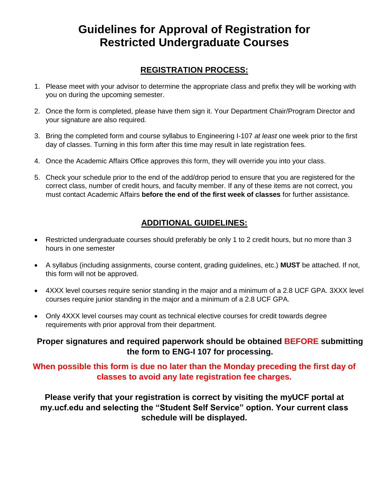## **Guidelines for Approval of Registration for Restricted Undergraduate Courses**

## **REGISTRATION PROCESS:**

- 1. Please meet with your advisor to determine the appropriate class and prefix they will be working with you on during the upcoming semester.
- 2. Once the form is completed, please have them sign it. Your Department Chair/Program Director and your signature are also required.
- 3. Bring the completed form and course syllabus to Engineering I-107 *at least* one week prior to the first day of classes. Turning in this form after this time may result in late registration fees.
- 4. Once the Academic Affairs Office approves this form, they will override you into your class.
- 5. Check your schedule prior to the end of the add/drop period to ensure that you are registered for the correct class, number of credit hours, and faculty member. If any of these items are not correct, you must contact Academic Affairs **before the end of the first week of classes** for further assistance.

### **ADDITIONAL GUIDELINES:**

- Restricted undergraduate courses should preferably be only 1 to 2 credit hours, but no more than 3 hours in one semester
- A syllabus (including assignments, course content, grading guidelines, etc.) **MUST** be attached. If not, this form will not be approved.
- 4XXX level courses require senior standing in the major and a minimum of a 2.8 UCF GPA. 3XXX level courses require junior standing in the major and a minimum of a 2.8 UCF GPA.
- Only 4XXX level courses may count as technical elective courses for credit towards degree requirements with prior approval from their department.

#### **Proper signatures and required paperwork should be obtained BEFORE submitting the form to ENG-I 107 for processing.**

#### **When possible this form is due no later than the Monday preceding the first day of classes to avoid any late registration fee charges.**

**Please verify that your registration is correct by visiting the myUCF portal at my.ucf.edu and selecting the "Student Self Service" option. Your current class schedule will be displayed.**